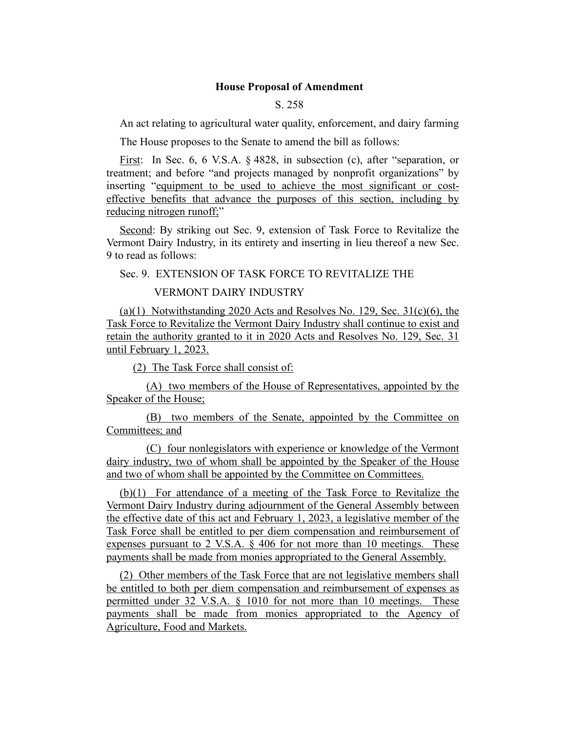### **House Proposal of Amendment**

## S. 258

An act relating to agricultural water quality, enforcement, and dairy farming

The House proposes to the Senate to amend the bill as follows:

First: In Sec. 6, 6 V.S.A. § 4828, in subsection (c), after "separation, or treatment; and before "and projects managed by nonprofit organizations" by inserting "equipment to be used to achieve the most significant or costeffective benefits that advance the purposes of this section, including by reducing nitrogen runoff;"

Second: By striking out Sec. 9, extension of Task Force to Revitalize the Vermont Dairy Industry, in its entirety and inserting in lieu thereof a new Sec. 9 to read as follows:

Sec. 9. EXTENSION OF TASK FORCE TO REVITALIZE THE

#### VERMONT DAIRY INDUSTRY

(a)(1) Notwithstanding 2020 Acts and Resolves No. 129, Sec.  $31(c)(6)$ , the Task Force to Revitalize the Vermont Dairy Industry shall continue to exist and retain the authority granted to it in 2020 Acts and Resolves No. 129, Sec. 31 until February 1, 2023.

(2) The Task Force shall consist of:

(A) two members of the House of Representatives, appointed by the Speaker of the House;

(B) two members of the Senate, appointed by the Committee on Committees; and

(C) four nonlegislators with experience or knowledge of the Vermont dairy industry, two of whom shall be appointed by the Speaker of the House and two of whom shall be appointed by the Committee on Committees.

(b)(1) For attendance of a meeting of the Task Force to Revitalize the Vermont Dairy Industry during adjournment of the General Assembly between the effective date of this act and February 1, 2023, a legislative member of the Task Force shall be entitled to per diem compensation and reimbursement of expenses pursuant to 2 V.S.A.  $\S$  406 for not more than 10 meetings. These payments shall be made from monies appropriated to the General Assembly.

(2) Other members of the Task Force that are not legislative members shall be entitled to both per diem compensation and reimbursement of expenses as permitted under 32 V.S.A. § 1010 for not more than 10 meetings. These payments shall be made from monies appropriated to the Agency of Agriculture, Food and Markets.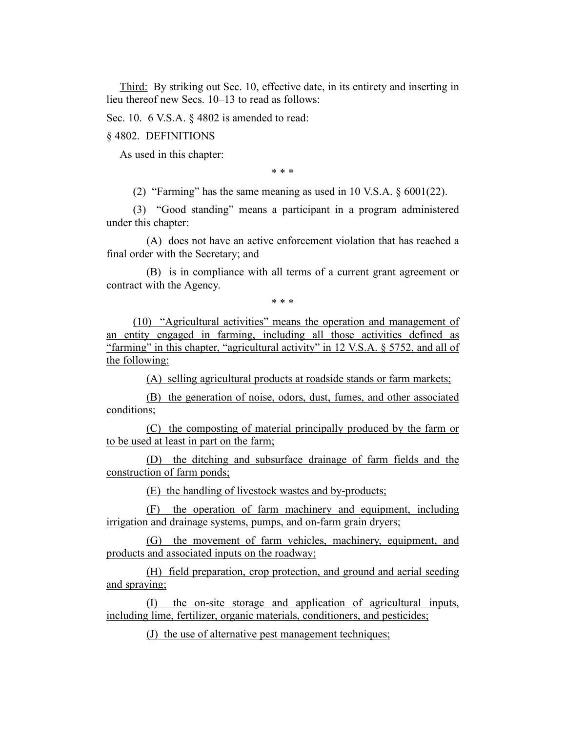Third: By striking out Sec. 10, effective date, in its entirety and inserting in lieu thereof new Secs. 10–13 to read as follows:

Sec. 10. 6 V.S.A. § 4802 is amended to read:

§ 4802. DEFINITIONS

As used in this chapter:

\* \* \*

(2) "Farming" has the same meaning as used in 10 V.S.A. § 6001(22).

(3) "Good standing" means a participant in a program administered under this chapter:

(A) does not have an active enforcement violation that has reached a final order with the Secretary; and

(B) is in compliance with all terms of a current grant agreement or contract with the Agency.

\* \* \*

(10) "Agricultural activities" means the operation and management of an entity engaged in farming, including all those activities defined as "farming" in this chapter, "agricultural activity" in 12 V.S.A. § 5752, and all of the following:

(A) selling agricultural products at roadside stands or farm markets;

(B) the generation of noise, odors, dust, fumes, and other associated conditions;

(C) the composting of material principally produced by the farm or to be used at least in part on the farm;

(D) the ditching and subsurface drainage of farm fields and the construction of farm ponds;

(E) the handling of livestock wastes and by-products;

(F) the operation of farm machinery and equipment, including irrigation and drainage systems, pumps, and on-farm grain dryers;

(G) the movement of farm vehicles, machinery, equipment, and products and associated inputs on the roadway;

(H) field preparation, crop protection, and ground and aerial seeding and spraying;

(I) the on-site storage and application of agricultural inputs, including lime, fertilizer, organic materials, conditioners, and pesticides;

(J) the use of alternative pest management techniques;